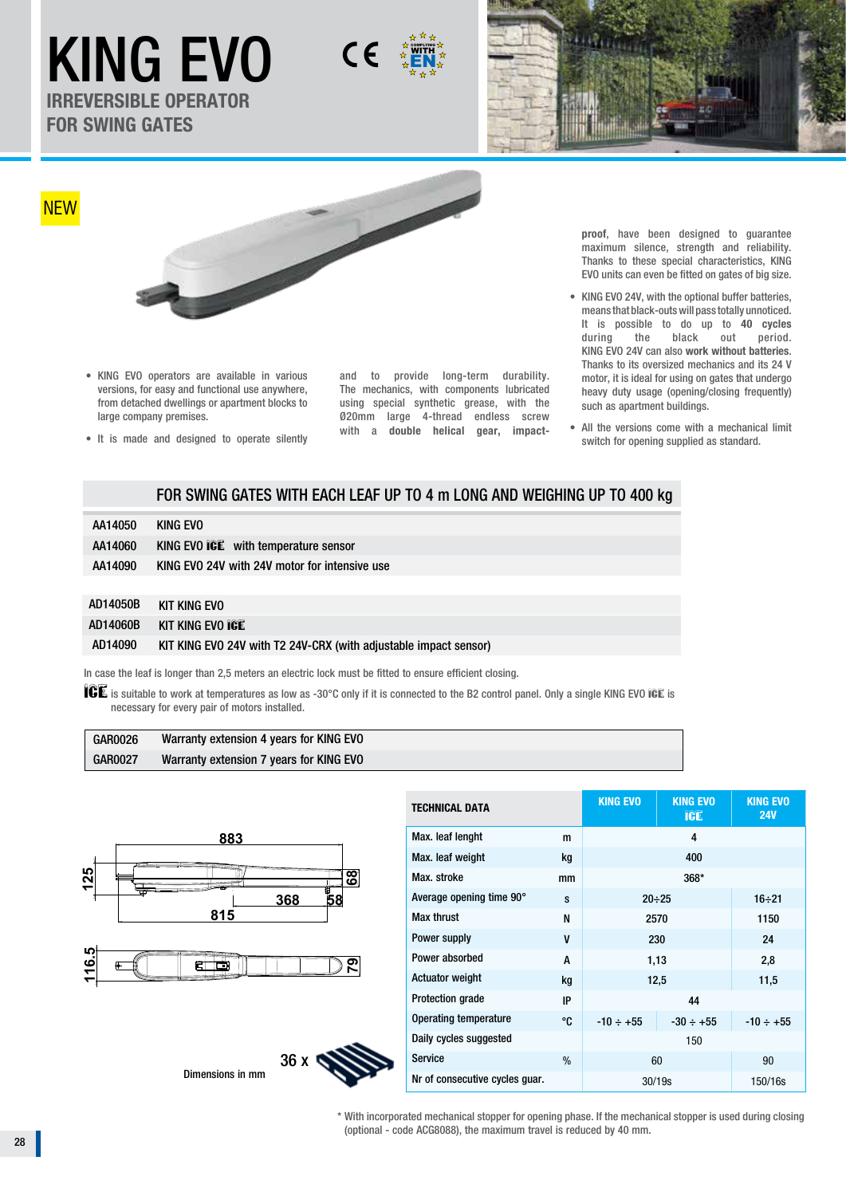KING EVO  $C \in$ **IRREVERSIBLE OPERATOR** 

**FOR SWING GATES**



• KING EVO operators are available in various versions, for easy and functional use anywhere, from detached dwellings or apartment blocks to large company premises.

• It is made and designed to operate silently

and to provide long-term durability. The mechanics, with components lubricated using special synthetic grease, with the Ø20mm large 4-thread endless screw with a **double helical gear, impact-**

EN COMPLYING

> **proof**, have been designed to guarantee maximum silence, strength and reliability. Thanks to these special characteristics, KING EVO units can even be fitted on gates of big size.

- **•** KING EVO 24V, with the optional buffer batteries, means that black-outs will pass totally unnoticed. It is possible to do up to **40 cycles** during the black out period. KING EVO 24V can also **work without batteries**. Thanks to its oversized mechanics and its 24 V motor, it is ideal for using on gates that undergo heavy duty usage (opening/closing frequently) such as apartment buildings.
- All the versions come with a mechanical limit switch for opening supplied as standard.

# FOR SWING GATES WITH EACH LEAF UP TO 4 m LONG AND WEIGHING UP TO 400 kg

| AA14050 | KING EVO                                      |
|---------|-----------------------------------------------|
| AA14060 | KING EVO ICE with temperature sensor          |
| AA14090 | KING EVO 24V with 24V motor for intensive use |

| AD14050B | KIT KING EVO                                                     |
|----------|------------------------------------------------------------------|
| AD14060B | KIT KING EVO ICE                                                 |
| AD14090  | KIT KING EVO 24V with T2 24V-CRX (with adjustable impact sensor) |

In case the leaf is longer than 2,5 meters an electric lock must be fitted to ensure efficient closing.

 $ICE$  is suitable to work at temperatures as low as -30°C only if it is connected to the B2 control panel. Only a single KING EVO ICE is necessary for every pair of motors installed.

| <b>GAR0026</b> | Warranty extension 4 years for KING EVO |  |
|----------------|-----------------------------------------|--|
| <b>GAR0027</b> | Warranty extension 7 years for KING EVO |  |



| <b>TECHNICAL DATA</b>          |    | <b>KING EVO</b> | <b>KING EVO</b><br>ICE | <b>KING EVO</b><br><b>24V</b> |
|--------------------------------|----|-----------------|------------------------|-------------------------------|
| Max. leaf lenght               | m  |                 |                        |                               |
| Max. leaf weight               | kg |                 |                        |                               |
| Max. stroke                    | mm |                 |                        |                               |
| Average opening time 90°       | S  | $20 \div 25$    |                        | $16 \div 21$                  |
| <b>Max thrust</b>              | N  | 2570            |                        | 1150                          |
| Power supply                   | V  |                 | 230                    |                               |
| Power absorbed                 | A  | 1,13            |                        | 2,8                           |
| <b>Actuator weight</b>         | kg | 12,5            |                        | 11,5                          |
| <b>Protection grade</b><br>IP  |    | 44              |                        |                               |
| Operating temperature<br>°C    |    | $-10 \div +55$  | $-30 \div +55$         | $-10 \div +55$                |
| Daily cycles suggested         |    | 150             |                        |                               |
| <b>Service</b>                 | %  | 60              |                        | 90                            |
| Nr of consecutive cycles guar. |    | 30/19s          |                        | 150/16s                       |

Dimensions in mm



\* With incorporated mechanical stopper for opening phase. If the mechanical stopper is used during closing (optional - code ACG8088), the maximum travel is reduced by 40 mm.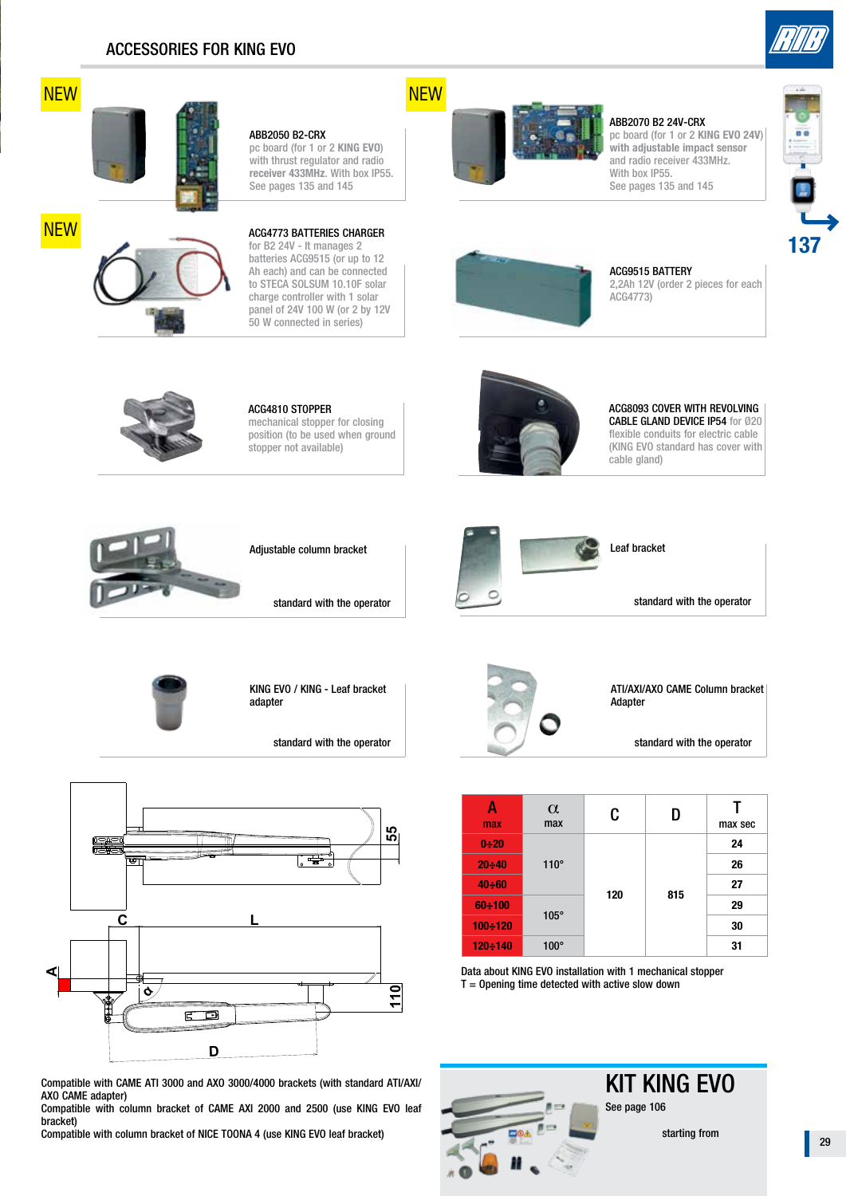



**NEW** 



### ABB2070 B2 24V-CRX pc board (for 1 or 2 **KING EVO 24V**) **with adjustable impact sensor** and radio receiver 433MHz. With box IP55. See pages 135 and 145





ACG9515 BATTERY

2,2Ah 12V (order 2 pieces for each ACG4773)



### ACG4810 STOPPER mechanical stopper for closing position (to be used when ground stopper not available)

ABB2050 B2-CRX

pc board (for 1 or 2 **KING EVO**) with thrust regulator and radio **receiver 433MHz**. With box IP55. See pages 135 and 145

#### ACG8093 COVER WITH REVOLVING CABLE GLAND DEVICE IP54 for Ø20 flexible conduits for electric cable (KING EVO standard has cover with cable gland)





standard with the operator



Leaf bracket

standard with the operator



KING EVO / KING - Leaf bracket adapter

standard with the operator



Compatible with CAME ATI 3000 and AXO 3000/4000 brackets (with standard ATI/AXI/ AXO CAME adapter)

Compatible with column bracket of CAME AXI 2000 and 2500 (use KING EVO leaf bracket)

Compatible with column bracket of NICE TOONA 4 (use KING EVO leaf bracket)



ATI/AXI/AXO CAME Column bracket Adapter

standard with the operator

| max           | $\alpha$<br>max | C   | D   | max sec |
|---------------|-----------------|-----|-----|---------|
| $0 + 20$      | $110^\circ$     | 120 | 815 | 24      |
| 20:40         |                 |     |     | 26      |
| $40 \div 60$  |                 |     |     | 27      |
| $60 \div 100$ | $105^\circ$     |     |     | 29      |
| $100 - 120$   |                 |     |     | 30      |
| $120 - 140$   | $100^\circ$     |     |     | 31      |

Data about KING EVO installation with 1 mechanical stopper  $T =$  Opening time detected with active slow down



KIT KING EVO See page 106

starting from

29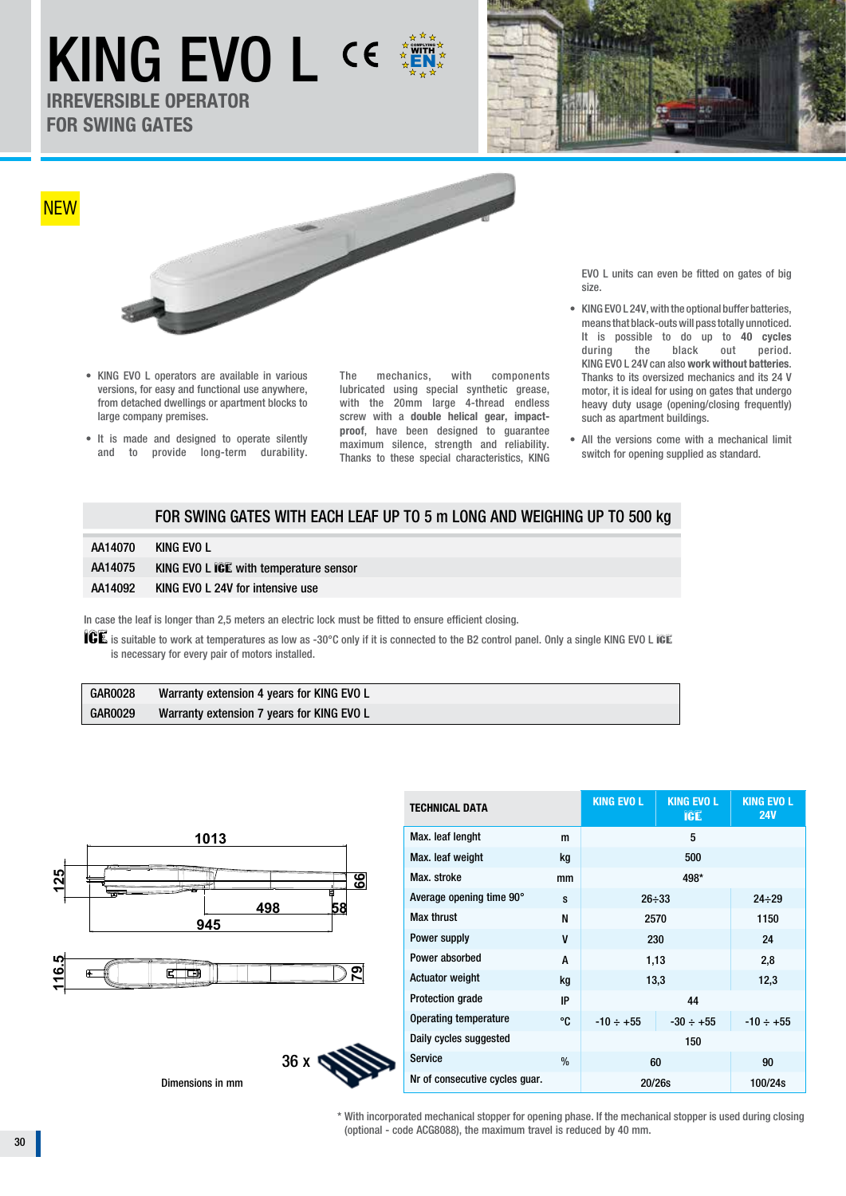# KING EVO L CE EN COMPLYING

**IRREVERSIBLE OPERATOR FOR SWING GATES**





- KING EVO L operators are available in various versions, for easy and functional use anywhere, from detached dwellings or apartment blocks to large company premises.
- It is made and designed to operate silently and to provide long-term durability.

The mechanics, with components lubricated using special synthetic grease, with the 20mm large 4-thread endless screw with a **double helical gear, impactproof**, have been designed to guarantee maximum silence, strength and reliability. Thanks to these special characteristics, KING EVO L units can even be fitted on gates of big size.

- **•** KING EVO L 24V, with the optional buffer batteries, means that black-outs will pass totally unnoticed. It is possible to do up to **40 cycles** during the black out period. KING EVO L 24V can also **work without batteries**. Thanks to its oversized mechanics and its 24 V motor, it is ideal for using on gates that undergo heavy duty usage (opening/closing frequently) such as apartment buildings.
- All the versions come with a mechanical limit switch for opening supplied as standard.

## FOR SWING GATES WITH EACH LEAF UP TO 5 m LONG AND WEIGHING UP TO 500 kg

| AA14070 | KING EVO L                             |
|---------|----------------------------------------|
| AA14075 | KING EVO L ICE with temperature sensor |
| AA14092 | KING EVO L 24V for intensive use       |

In case the leaf is longer than 2,5 meters an electric lock must be fitted to ensure efficient closing.

36 x

ICE is suitable to work at temperatures as low as -30°C only if it is connected to the B2 control panel. Only a single KING EVO L ICE is necessary for every pair of motors installed.

| <b>GAR0028</b> | Warranty extension 4 years for KING EVO L |
|----------------|-------------------------------------------|
| <b>GAR0029</b> | Warranty extension 7 years for KING EVO L |



Nimensions in mm

| <b>TECHNICAL DATA</b>              |      | <b>KING EVO L</b> | <b>KING EVO L</b><br>ICE | <b>KING EVO L</b><br><b>24V</b> |
|------------------------------------|------|-------------------|--------------------------|---------------------------------|
| Max. leaf lenght                   | m    | 5                 |                          |                                 |
| Max. leaf weight                   | kg   | 500               |                          |                                 |
| Max. stroke                        | mm   |                   |                          |                                 |
| Average opening time 90°           | s    |                   | $26 \div 33$             | $24 \div 29$                    |
| <b>Max thrust</b>                  | N    | 2570              |                          | 1150                            |
| Power supply<br>V                  |      | 230               |                          | 24                              |
| Power absorbed                     |      | 1,13              |                          | 2,8                             |
| <b>Actuator weight</b>             | kg   | 13,3              |                          | 12,3                            |
| <b>Protection grade</b>            | IP   | 44                |                          |                                 |
| <b>Operating temperature</b><br>°C |      | $-10 \div +55$    | $-30 \div +55$           | $-10 \div +55$                  |
| Daily cycles suggested             |      | 150               |                          |                                 |
| <b>Service</b>                     | $\%$ |                   | 60                       |                                 |
| Nr of consecutive cycles quar.     |      | 20/26s            |                          | 100/24s                         |

\* With incorporated mechanical stopper for opening phase. If the mechanical stopper is used during closing (optional - code ACG8088), the maximum travel is reduced by 40 mm.